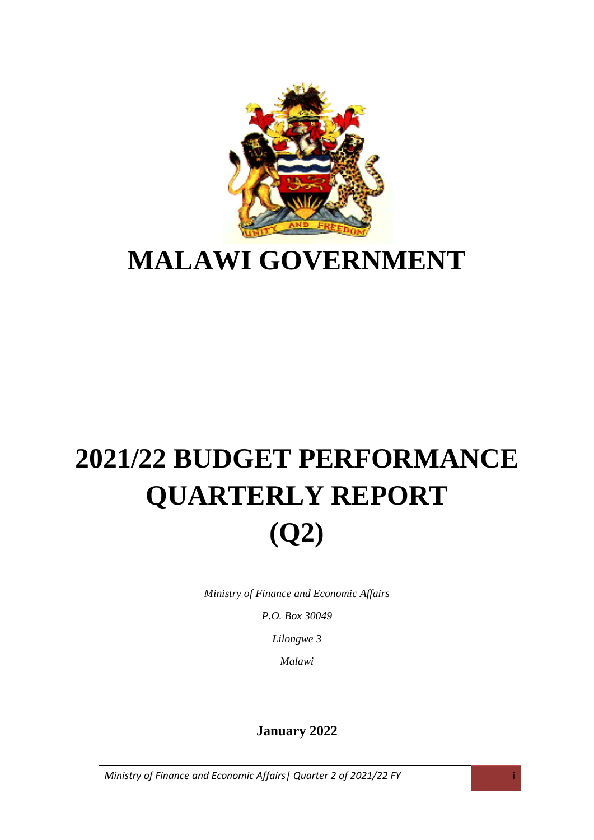

### **MALAWI GOVERNMENT**

## **2021/22 BUDGET PERFORMANCE QUARTERLY REPORT (Q2)**

*Ministry of Finance and Economic Affairs*

*P.O. Box 30049*

*Lilongwe 3*

*Malawi*

#### **January 2022**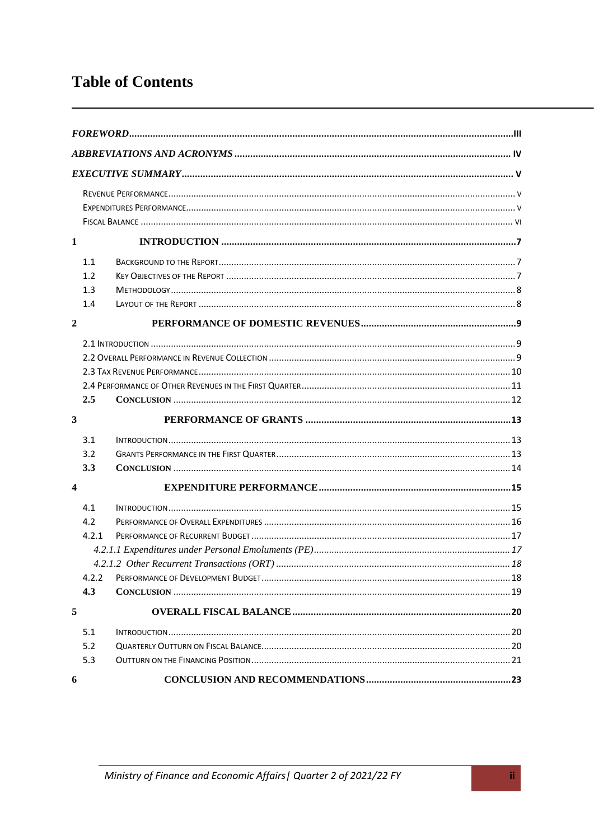#### **Table of Contents**

| $\mathbf{1}$            |                                     |  |
|-------------------------|-------------------------------------|--|
|                         | 1.1<br>1.2<br>1.3<br>1.4            |  |
| $\boldsymbol{2}$        |                                     |  |
|                         | 2.5                                 |  |
| 3                       |                                     |  |
|                         | 3.1<br>3.2<br>3.3                   |  |
| $\overline{\mathbf{4}}$ |                                     |  |
|                         | 4.1<br>4.2<br>4.2.1<br>4.2.2<br>4.3 |  |
| 5                       |                                     |  |
|                         | 5.1<br>5.2<br>5.3                   |  |
| 6                       |                                     |  |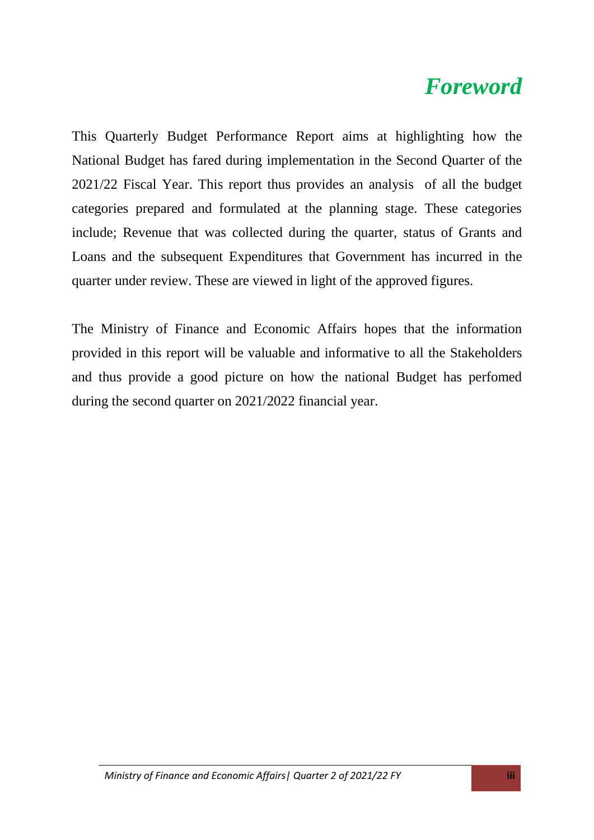### <span id="page-2-0"></span>*Foreword*

This Quarterly Budget Performance Report aims at highlighting how the National Budget has fared during implementation in the Second Quarter of the 2021/22 Fiscal Year. This report thus provides an analysis of all the budget categories prepared and formulated at the planning stage. These categories include; Revenue that was collected during the quarter, status of Grants and Loans and the subsequent Expenditures that Government has incurred in the quarter under review. These are viewed in light of the approved figures.

The Ministry of Finance and Economic Affairs hopes that the information provided in this report will be valuable and informative to all the Stakeholders and thus provide a good picture on how the national Budget has perfomed during the second quarter on 2021/2022 financial year.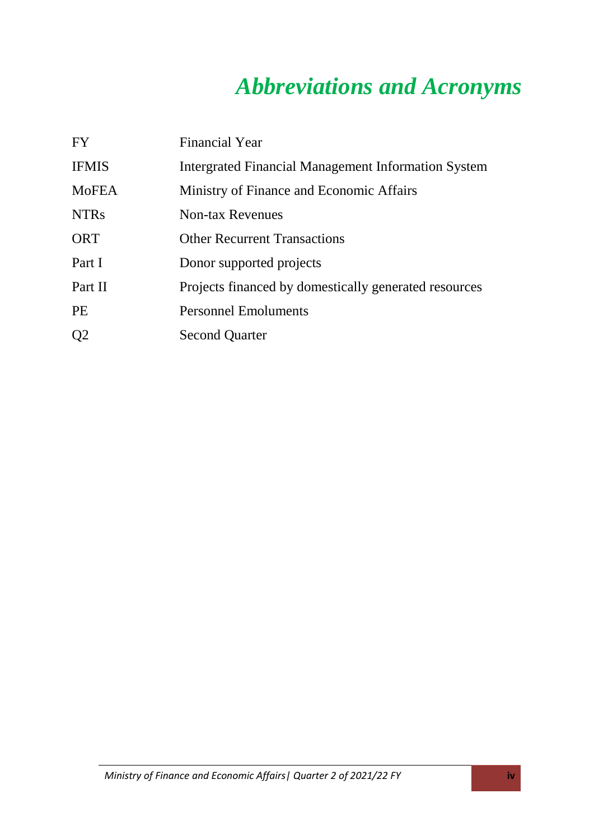### *Abbreviations and Acronyms*

<span id="page-3-0"></span>

| <b>FY</b>      | <b>Financial Year</b>                                 |
|----------------|-------------------------------------------------------|
| <b>IFMIS</b>   | Intergrated Financial Management Information System   |
| <b>MoFEA</b>   | Ministry of Finance and Economic Affairs              |
| <b>NTRs</b>    | <b>Non-tax Revenues</b>                               |
| ORT            | <b>Other Recurrent Transactions</b>                   |
| Part I         | Donor supported projects                              |
| Part II        | Projects financed by domestically generated resources |
| <b>PE</b>      | <b>Personnel Emoluments</b>                           |
| Q <sub>2</sub> | <b>Second Quarter</b>                                 |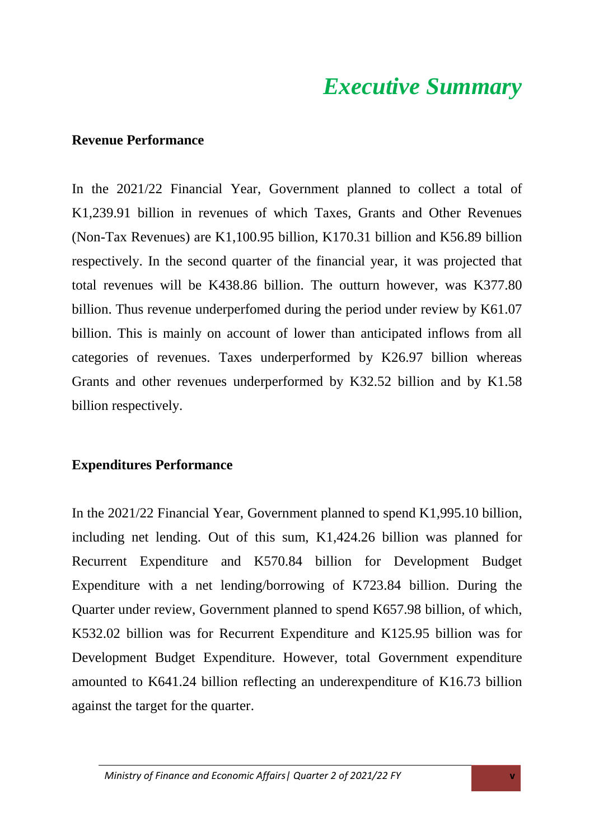### *Executive Summary*

#### <span id="page-4-1"></span><span id="page-4-0"></span>**Revenue Performance**

In the 2021/22 Financial Year, Government planned to collect a total of K1,239.91 billion in revenues of which Taxes, Grants and Other Revenues (Non-Tax Revenues) are K1,100.95 billion, K170.31 billion and K56.89 billion respectively. In the second quarter of the financial year, it was projected that total revenues will be K438.86 billion. The outturn however, was K377.80 billion. Thus revenue underperfomed during the period under review by K61.07 billion. This is mainly on account of lower than anticipated inflows from all categories of revenues. Taxes underperformed by K26.97 billion whereas Grants and other revenues underperformed by K32.52 billion and by K1.58 billion respectively.

#### <span id="page-4-2"></span>**Expenditures Performance**

In the 2021/22 Financial Year, Government planned to spend K1,995.10 billion, including net lending. Out of this sum, K1,424.26 billion was planned for Recurrent Expenditure and K570.84 billion for Development Budget Expenditure with a net lending/borrowing of K723.84 billion. During the Quarter under review, Government planned to spend K657.98 billion, of which, K532.02 billion was for Recurrent Expenditure and K125.95 billion was for Development Budget Expenditure. However, total Government expenditure amounted to K641.24 billion reflecting an underexpenditure of K16.73 billion against the target for the quarter.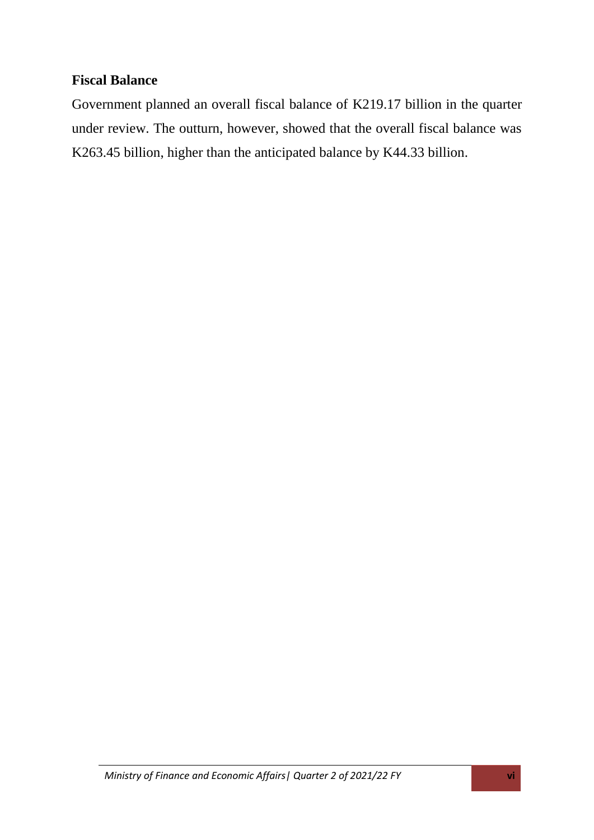#### <span id="page-5-0"></span>**Fiscal Balance**

Government planned an overall fiscal balance of K219.17 billion in the quarter under review. The outturn, however, showed that the overall fiscal balance was K263.45 billion, higher than the anticipated balance by K44.33 billion.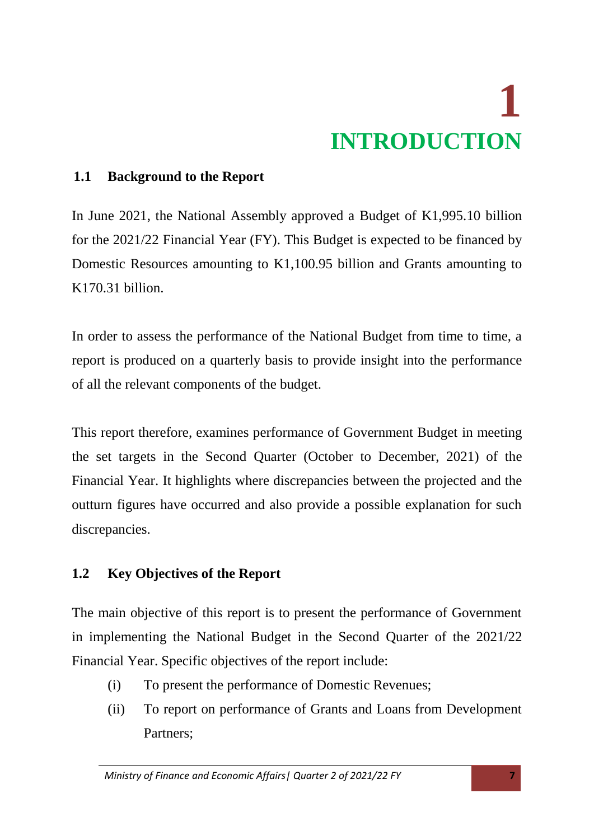# **1 INTRODUCTION**

#### <span id="page-6-1"></span><span id="page-6-0"></span>**1.1 Background to the Report**

In June 2021, the National Assembly approved a Budget of K1,995.10 billion for the 2021/22 Financial Year (FY). This Budget is expected to be financed by Domestic Resources amounting to K1,100.95 billion and Grants amounting to K170.31 billion.

In order to assess the performance of the National Budget from time to time, a report is produced on a quarterly basis to provide insight into the performance of all the relevant components of the budget.

This report therefore, examines performance of Government Budget in meeting the set targets in the Second Quarter (October to December, 2021) of the Financial Year. It highlights where discrepancies between the projected and the outturn figures have occurred and also provide a possible explanation for such discrepancies.

#### <span id="page-6-2"></span>**1.2 Key Objectives of the Report**

The main objective of this report is to present the performance of Government in implementing the National Budget in the Second Quarter of the 2021/22 Financial Year. Specific objectives of the report include:

- (i) To present the performance of Domestic Revenues;
- (ii) To report on performance of Grants and Loans from Development Partners;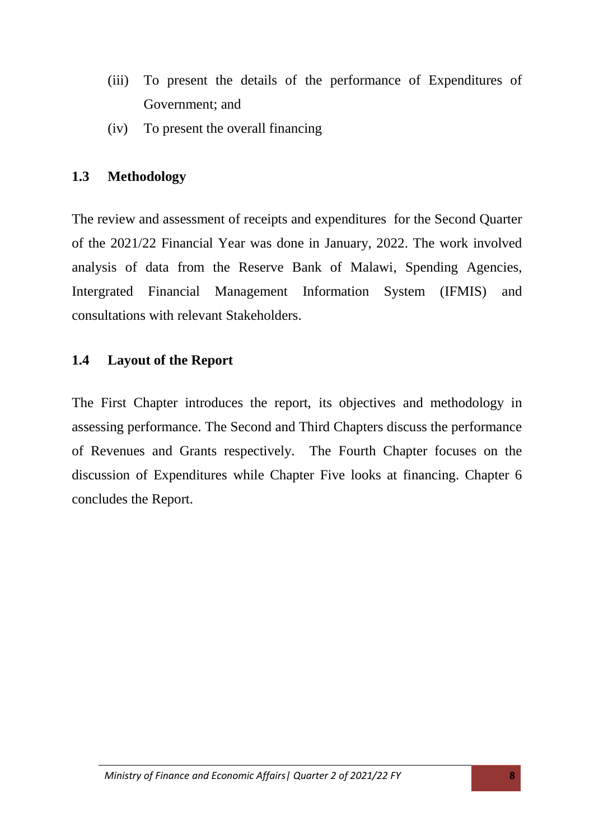- (iii) To present the details of the performance of Expenditures of Government; and
- (iv) To present the overall financing

#### <span id="page-7-0"></span>**1.3 Methodology**

The review and assessment of receipts and expenditures for the Second Quarter of the 2021/22 Financial Year was done in January, 2022. The work involved analysis of data from the Reserve Bank of Malawi, Spending Agencies, Intergrated Financial Management Information System (IFMIS) and consultations with relevant Stakeholders.

#### <span id="page-7-1"></span>**1.4 Layout of the Report**

The First Chapter introduces the report, its objectives and methodology in assessing performance. The Second and Third Chapters discuss the performance of Revenues and Grants respectively. The Fourth Chapter focuses on the discussion of Expenditures while Chapter Five looks at financing. Chapter 6 concludes the Report.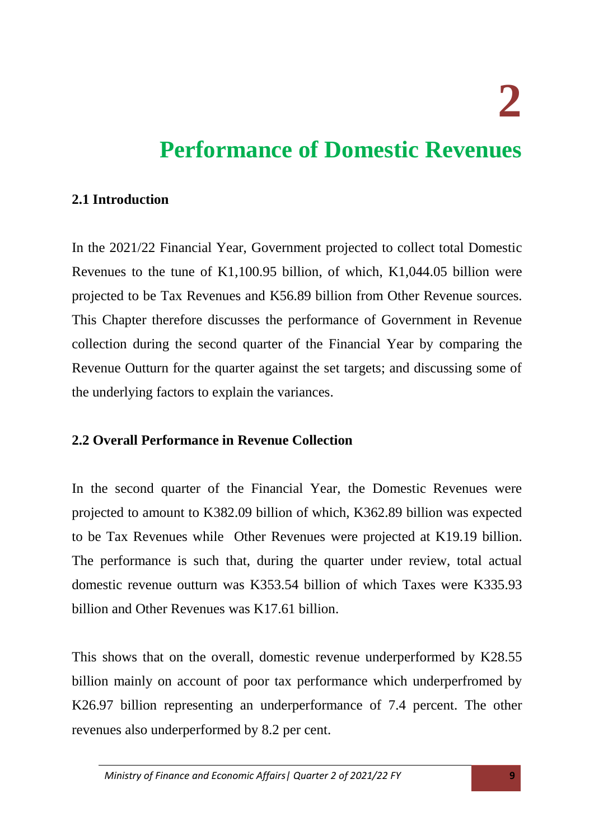**2** 

### <span id="page-8-0"></span>**Performance of Domestic Revenues**

#### <span id="page-8-1"></span>**2.1 Introduction**

In the 2021/22 Financial Year, Government projected to collect total Domestic Revenues to the tune of K1,100.95 billion, of which, K1,044.05 billion were projected to be Tax Revenues and K56.89 billion from Other Revenue sources. This Chapter therefore discusses the performance of Government in Revenue collection during the second quarter of the Financial Year by comparing the Revenue Outturn for the quarter against the set targets; and discussing some of the underlying factors to explain the variances.

#### <span id="page-8-2"></span>**2.2 Overall Performance in Revenue Collection**

In the second quarter of the Financial Year, the Domestic Revenues were projected to amount to K382.09 billion of which, K362.89 billion was expected to be Tax Revenues while Other Revenues were projected at K19.19 billion. The performance is such that, during the quarter under review, total actual domestic revenue outturn was K353.54 billion of which Taxes were K335.93 billion and Other Revenues was K17.61 billion.

This shows that on the overall, domestic revenue underperformed by K28.55 billion mainly on account of poor tax performance which underperfromed by K26.97 billion representing an underperformance of 7.4 percent. The other revenues also underperformed by 8.2 per cent.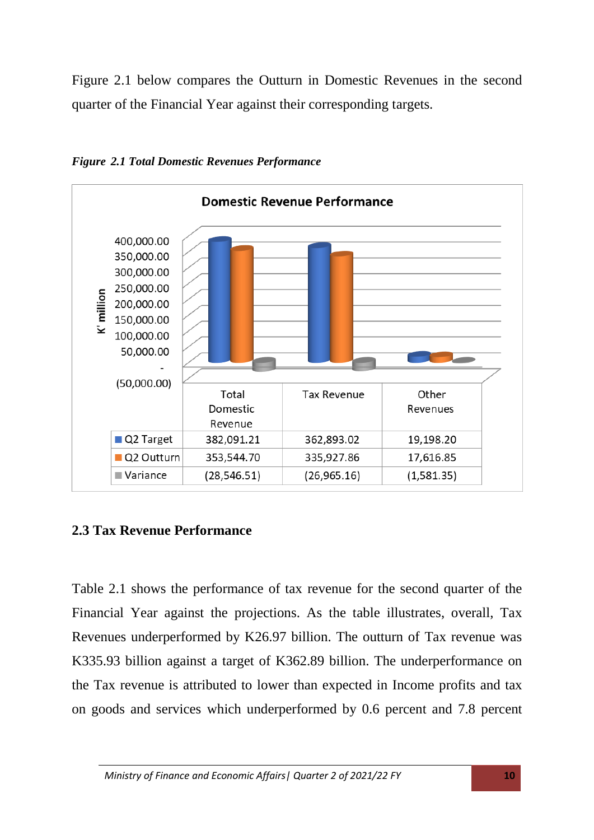Figure 2.1 below compares the Outturn in Domestic Revenues in the second quarter of the Financial Year against their corresponding targets.



*Figure 2.1 Total Domestic Revenues Performance* 

#### <span id="page-9-0"></span>**2.3 Tax Revenue Performance**

Table 2.1 shows the performance of tax revenue for the second quarter of the Financial Year against the projections. As the table illustrates, overall, Tax Revenues underperformed by K26.97 billion. The outturn of Tax revenue was K335.93 billion against a target of K362.89 billion. The underperformance on the Tax revenue is attributed to lower than expected in Income profits and tax on goods and services which underperformed by 0.6 percent and 7.8 percent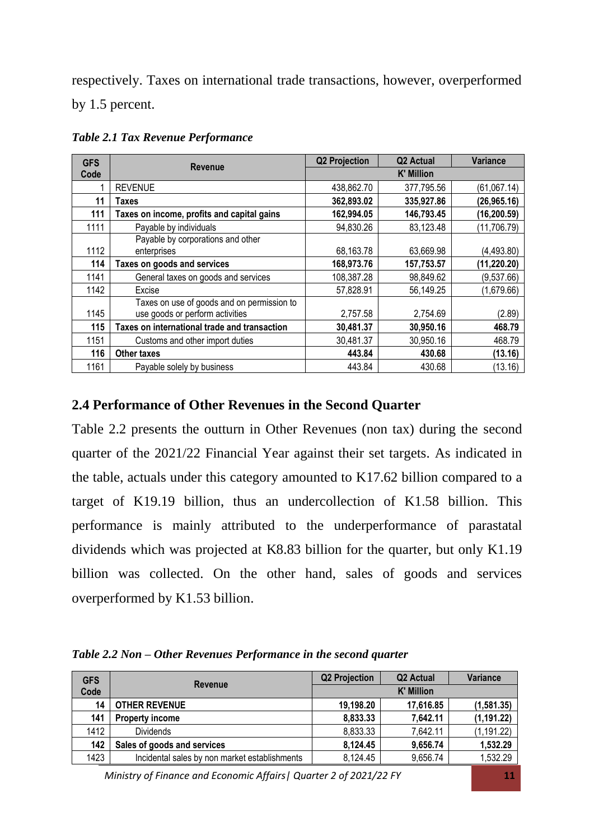respectively. Taxes on international trade transactions, however, overperformed by 1.5 percent.

| <b>GFS</b> | <b>Revenue</b>                                                                | <b>Q2 Projection</b> | Q2 Actual  | <b>Variance</b> |
|------------|-------------------------------------------------------------------------------|----------------------|------------|-----------------|
| Code       |                                                                               | <b>K' Million</b>    |            |                 |
|            | <b>REVENUE</b>                                                                | 438,862.70           | 377,795.56 | (61,067.14)     |
| 11         | Taxes                                                                         | 362,893.02           | 335,927.86 | (26,965.16)     |
| 111        | Taxes on income, profits and capital gains                                    | 162,994.05           | 146,793.45 | (16, 200.59)    |
| 1111       | Payable by individuals                                                        | 94,830.26            | 83,123.48  | (11, 706.79)    |
|            | Payable by corporations and other                                             |                      |            |                 |
| 1112       | enterprises                                                                   | 68,163.78            | 63,669.98  | (4, 493.80)     |
| 114        | Taxes on goods and services                                                   | 168,973.76           | 157,753.57 | (11, 220.20)    |
| 1141       | General taxes on goods and services                                           | 108,387.28           | 98,849.62  | (9,537.66)      |
| 1142       | Excise                                                                        | 57,828.91            | 56,149.25  | (1,679.66)      |
| 1145       | Taxes on use of goods and on permission to<br>use goods or perform activities | 2,757.58             | 2,754.69   | (2.89)          |
| 115        | Taxes on international trade and transaction                                  | 30,481.37            | 30,950.16  | 468.79          |
| 1151       | Customs and other import duties                                               | 30,481.37            | 30,950.16  | 468.79          |
| 116        | <b>Other taxes</b>                                                            | 443.84               | 430.68     | (13.16)         |
| 1161       | Payable solely by business                                                    | 443.84               | 430.68     | (13.16)         |

*Table 2.1 Tax Revenue Performance*

#### <span id="page-10-0"></span>**2.4 Performance of Other Revenues in the Second Quarter**

Table 2.2 presents the outturn in Other Revenues (non tax) during the second quarter of the 2021/22 Financial Year against their set targets. As indicated in the table, actuals under this category amounted to K17.62 billion compared to a target of K19.19 billion, thus an undercollection of K1.58 billion. This performance is mainly attributed to the underperformance of parastatal dividends which was projected at K8.83 billion for the quarter, but only K1.19 billion was collected. On the other hand, sales of goods and services overperformed by K1.53 billion.

| Table 2.2 Non – Other Revenues Performance in the second quarter |  |  |
|------------------------------------------------------------------|--|--|
|------------------------------------------------------------------|--|--|

| <b>GFS</b> | <b>Revenue</b>                                | <b>Q2 Projection</b> | Q <sub>2</sub> Actual | Variance    |
|------------|-----------------------------------------------|----------------------|-----------------------|-------------|
| Code       |                                               | <b>K' Million</b>    |                       |             |
| 14         | <b>OTHER REVENUE</b>                          | 19,198.20            | 17,616.85             | (1,581.35)  |
| 141        | <b>Property income</b>                        | 8,833.33             | 7,642.11              | (1, 191.22) |
| 1412       | <b>Dividends</b>                              | 8,833.33             | 7,642.11              | (1, 191.22) |
| 142        | Sales of goods and services                   | 8,124.45             | 9,656.74              | 1,532.29    |
| 1423       | Incidental sales by non market establishments | 8,124.45             | 9,656.74              | 1,532.29    |

*Ministry of Finance and Economic Affairs| Quarter 2 of 2021/22 FY* **11**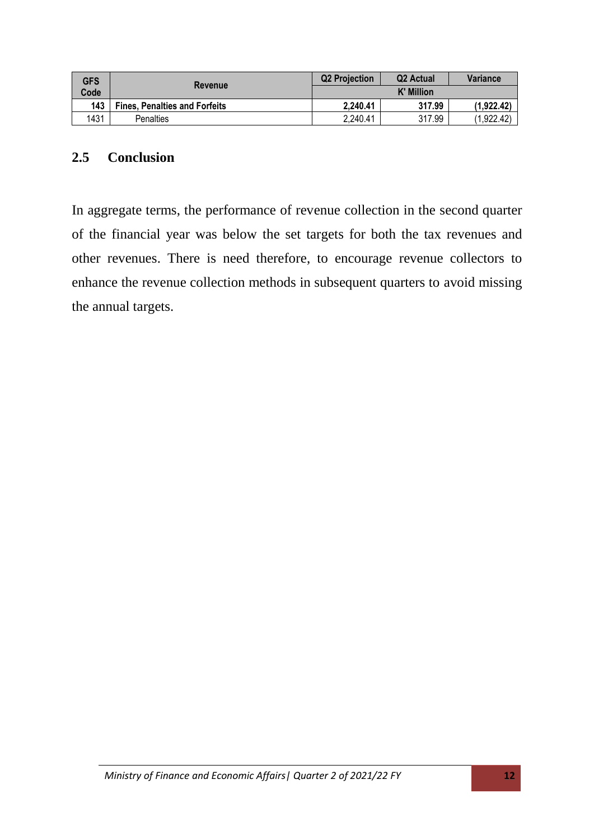| <b>GFS</b> |                                      | <b>Q2 Projection</b> | Q <sub>2</sub> Actual | <b>Variance</b> |
|------------|--------------------------------------|----------------------|-----------------------|-----------------|
| Code       | <b>Revenue</b>                       | <b>K' Million</b>    |                       |                 |
| 143        | <b>Fines, Penalties and Forfeits</b> | 2,240.41             | 317.99                | (1.922.42)      |
| 1431       | <b>Penalties</b>                     | 2,240.41             | 317.99                | (1.922.42)      |

#### <span id="page-11-0"></span>**2.5 Conclusion**

In aggregate terms, the performance of revenue collection in the second quarter of the financial year was below the set targets for both the tax revenues and other revenues. There is need therefore, to encourage revenue collectors to enhance the revenue collection methods in subsequent quarters to avoid missing the annual targets.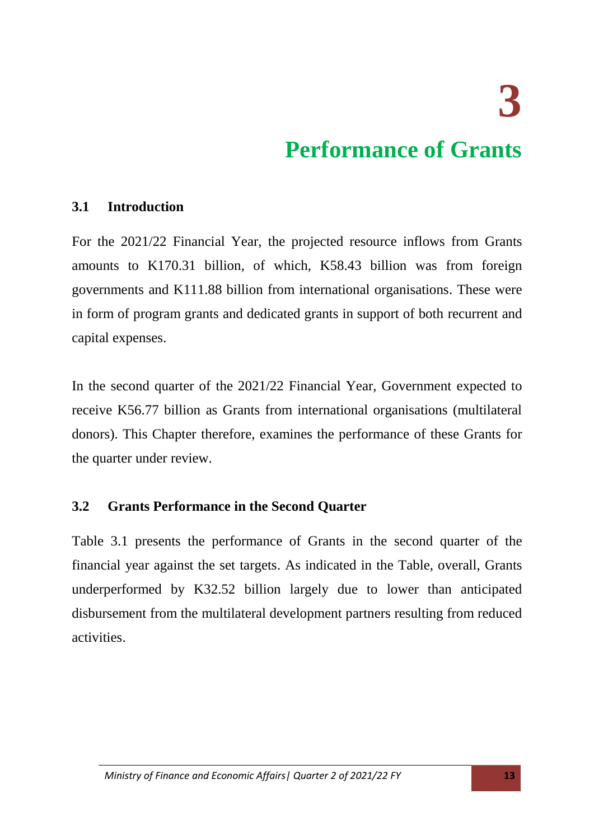**3** 

### **Performance of Grants**

#### <span id="page-12-1"></span><span id="page-12-0"></span>**3.1 Introduction**

For the 2021/22 Financial Year, the projected resource inflows from Grants amounts to K170.31 billion, of which, K58.43 billion was from foreign governments and K111.88 billion from international organisations. These were in form of program grants and dedicated grants in support of both recurrent and capital expenses.

In the second quarter of the 2021/22 Financial Year, Government expected to receive K56.77 billion as Grants from international organisations (multilateral donors). This Chapter therefore, examines the performance of these Grants for the quarter under review.

#### <span id="page-12-2"></span>**3.2 Grants Performance in the Second Quarter**

Table 3.1 presents the performance of Grants in the second quarter of the financial year against the set targets. As indicated in the Table, overall, Grants underperformed by K32.52 billion largely due to lower than anticipated disbursement from the multilateral development partners resulting from reduced activities.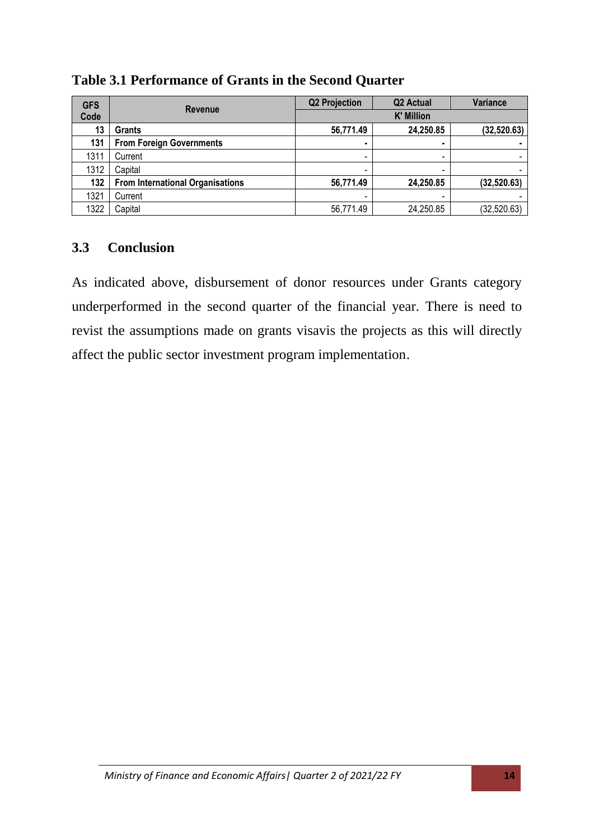| <b>GFS</b> | <b>Revenue</b>                          | <b>Q2 Projection</b>     | Q <sub>2</sub> Actual    | Variance     |
|------------|-----------------------------------------|--------------------------|--------------------------|--------------|
| Code       |                                         | <b>K' Million</b>        |                          |              |
| 13         | Grants                                  | 56,771.49                | 24,250.85                | (32, 520.63) |
| 131        | <b>From Foreign Governments</b>         | ٠                        |                          |              |
| 1311       | Current                                 | $\overline{\phantom{0}}$ | $\overline{\phantom{0}}$ |              |
| 1312       | Capital                                 |                          | -                        |              |
| 132        | <b>From International Organisations</b> | 56,771.49                | 24,250.85                | (32, 520.63) |
| 1321       | Current                                 |                          |                          |              |
| 1322       | Capital                                 | 56,771.49                | 24,250.85                | (32, 520.63) |

**Table 3.1 Performance of Grants in the Second Quarter**

#### <span id="page-13-0"></span>**3.3 Conclusion**

As indicated above, disbursement of donor resources under Grants category underperformed in the second quarter of the financial year. There is need to revist the assumptions made on grants visavis the projects as this will directly affect the public sector investment program implementation.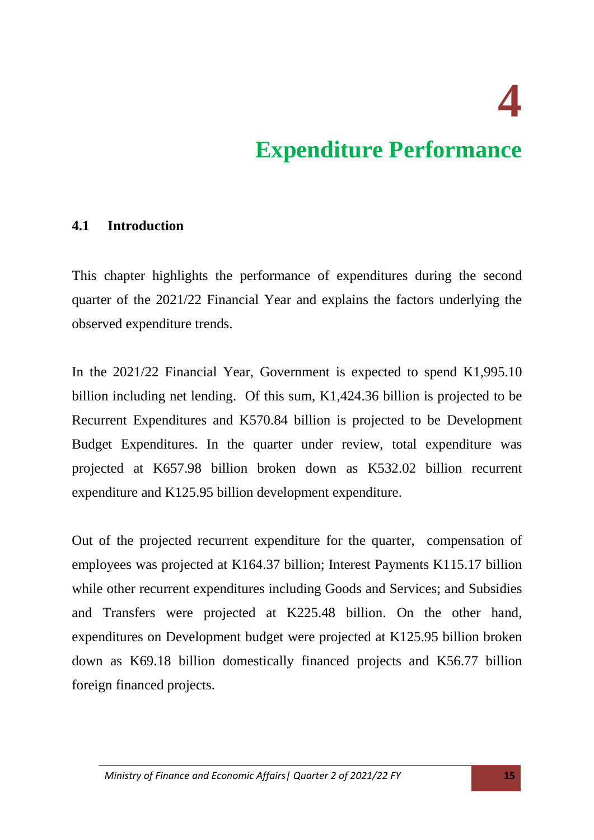**4** 

### **Expenditure Performance**

#### <span id="page-14-1"></span><span id="page-14-0"></span>**4.1 Introduction**

This chapter highlights the performance of expenditures during the second quarter of the 2021/22 Financial Year and explains the factors underlying the observed expenditure trends.

In the 2021/22 Financial Year, Government is expected to spend K1,995.10 billion including net lending. Of this sum, K1,424.36 billion is projected to be Recurrent Expenditures and K570.84 billion is projected to be Development Budget Expenditures. In the quarter under review, total expenditure was projected at K657.98 billion broken down as K532.02 billion recurrent expenditure and K125.95 billion development expenditure.

Out of the projected recurrent expenditure for the quarter, compensation of employees was projected at K164.37 billion; Interest Payments K115.17 billion while other recurrent expenditures including Goods and Services; and Subsidies and Transfers were projected at K225.48 billion. On the other hand, expenditures on Development budget were projected at K125.95 billion broken down as K69.18 billion domestically financed projects and K56.77 billion foreign financed projects.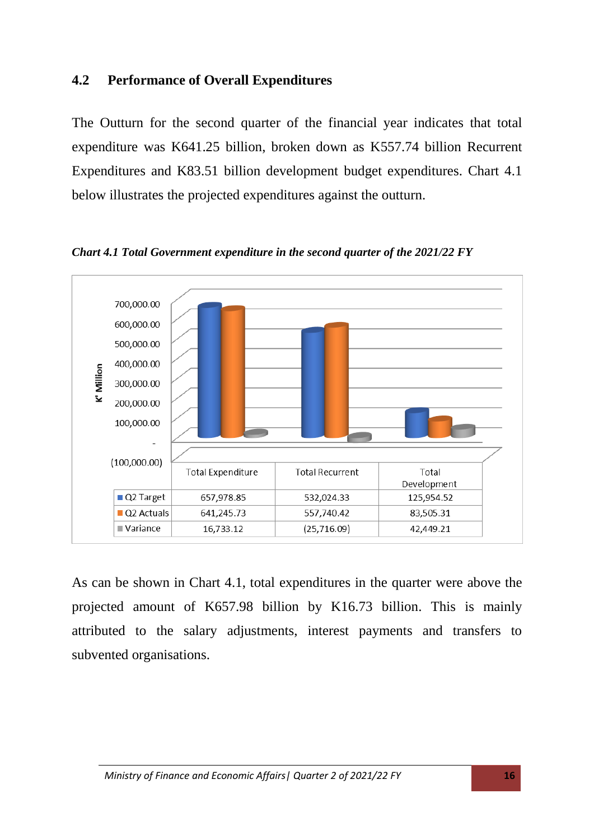#### <span id="page-15-0"></span>**4.2 Performance of Overall Expenditures**

The Outturn for the second quarter of the financial year indicates that total expenditure was K641.25 billion, broken down as K557.74 billion Recurrent Expenditures and K83.51 billion development budget expenditures. Chart 4.1 below illustrates the projected expenditures against the outturn.



*Chart 4.1 Total Government expenditure in the second quarter of the 2021/22 FY*

As can be shown in Chart 4.1, total expenditures in the quarter were above the projected amount of K657.98 billion by K16.73 billion. This is mainly attributed to the salary adjustments, interest payments and transfers to subvented organisations.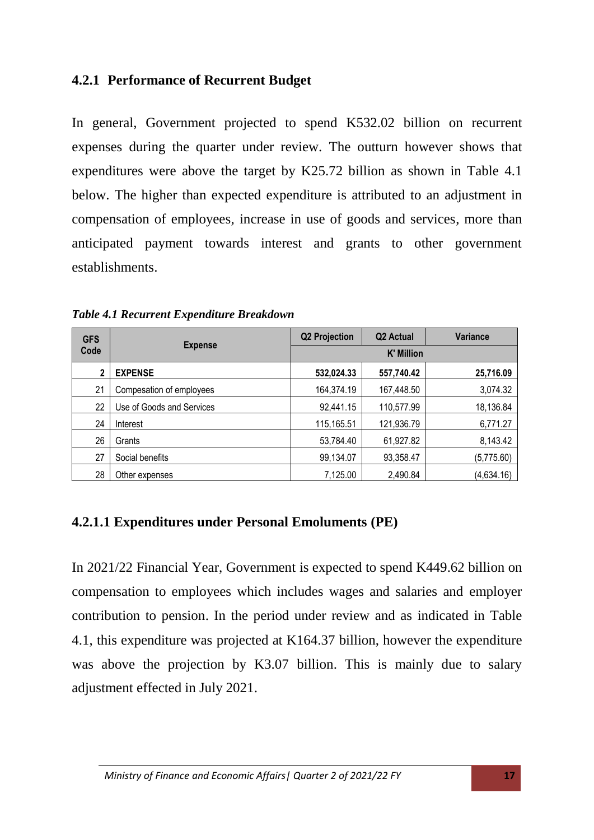#### <span id="page-16-0"></span>**4.2.1 Performance of Recurrent Budget**

In general, Government projected to spend K532.02 billion on recurrent expenses during the quarter under review. The outturn however shows that expenditures were above the target by K25.72 billion as shown in Table 4.1 below. The higher than expected expenditure is attributed to an adjustment in compensation of employees, increase in use of goods and services, more than anticipated payment towards interest and grants to other government establishments.

| <b>GFS</b>  |                           | <b>Q2 Projection</b><br>Q <sub>2</sub> Actual | <b>Variance</b> |            |
|-------------|---------------------------|-----------------------------------------------|-----------------|------------|
| Code        | <b>Expense</b>            | <b>K' Million</b>                             |                 |            |
| $\mathbf 2$ | <b>EXPENSE</b>            | 532,024.33                                    | 557,740.42      | 25,716.09  |
| 21          | Compesation of employees  | 164,374.19                                    | 167,448.50      | 3,074.32   |
| 22          | Use of Goods and Services | 92,441.15                                     | 110,577.99      | 18,136.84  |
| 24          | Interest                  | 115,165.51                                    | 121,936.79      | 6,771.27   |
| 26          | Grants                    | 53,784.40                                     | 61,927.82       | 8,143.42   |
| 27          | Social benefits           | 99,134.07                                     | 93,358.47       | (5,775.60) |
| 28          | Other expenses            | 7,125.00                                      | 2,490.84        | (4,634.16) |

*Table 4.1 Recurrent Expenditure Breakdown*

#### <span id="page-16-1"></span>**4.2.1.1 Expenditures under Personal Emoluments (PE)**

In 2021/22 Financial Year, Government is expected to spend K449.62 billion on compensation to employees which includes wages and salaries and employer contribution to pension. In the period under review and as indicated in Table 4.1, this expenditure was projected at K164.37 billion, however the expenditure was above the projection by K3.07 billion. This is mainly due to salary adjustment effected in July 2021.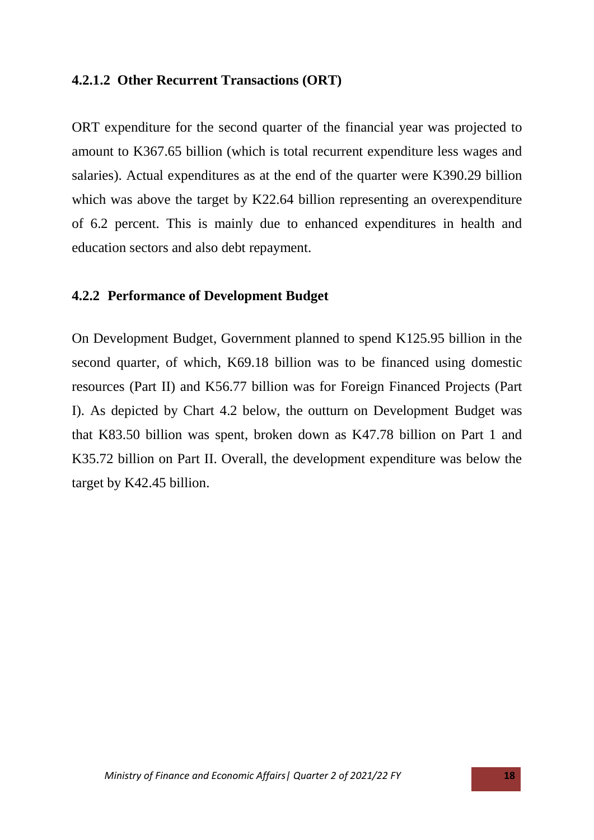#### <span id="page-17-0"></span>**4.2.1.2 Other Recurrent Transactions (ORT)**

ORT expenditure for the second quarter of the financial year was projected to amount to K367.65 billion (which is total recurrent expenditure less wages and salaries). Actual expenditures as at the end of the quarter were K390.29 billion which was above the target by K22.64 billion representing an overexpenditure of 6.2 percent. This is mainly due to enhanced expenditures in health and education sectors and also debt repayment.

#### <span id="page-17-1"></span>**4.2.2 Performance of Development Budget**

On Development Budget, Government planned to spend K125.95 billion in the second quarter, of which, K69.18 billion was to be financed using domestic resources (Part II) and K56.77 billion was for Foreign Financed Projects (Part I). As depicted by Chart 4.2 below, the outturn on Development Budget was that K83.50 billion was spent, broken down as K47.78 billion on Part 1 and K35.72 billion on Part II. Overall, the development expenditure was below the target by K42.45 billion.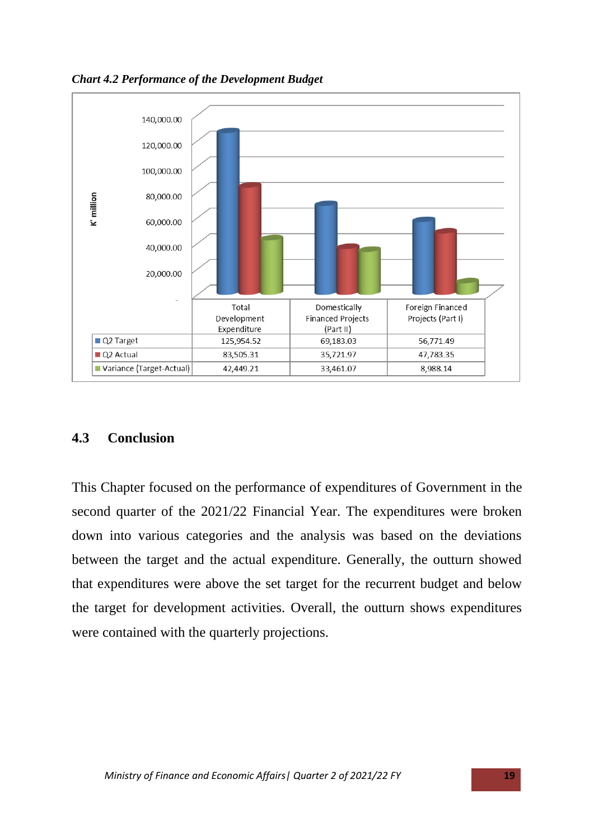*Chart 4.2 Performance of the Development Budget*



#### <span id="page-18-0"></span>**4.3 Conclusion**

This Chapter focused on the performance of expenditures of Government in the second quarter of the 2021/22 Financial Year. The expenditures were broken down into various categories and the analysis was based on the deviations between the target and the actual expenditure. Generally, the outturn showed that expenditures were above the set target for the recurrent budget and below the target for development activities. Overall, the outturn shows expenditures were contained with the quarterly projections.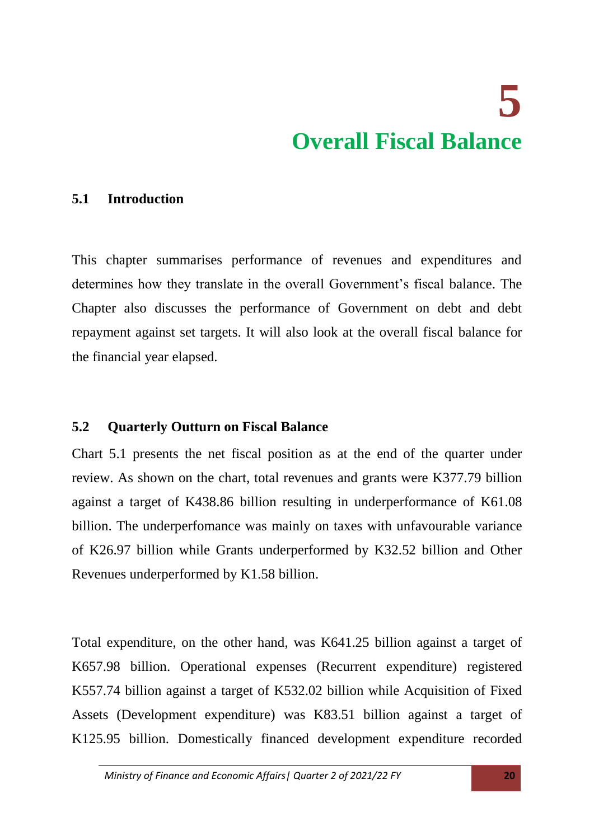## **5 Overall Fiscal Balance**

#### <span id="page-19-1"></span><span id="page-19-0"></span>**5.1 Introduction**

This chapter summarises performance of revenues and expenditures and determines how they translate in the overall Government's fiscal balance. The Chapter also discusses the performance of Government on debt and debt repayment against set targets. It will also look at the overall fiscal balance for the financial year elapsed.

#### <span id="page-19-2"></span>**5.2 Quarterly Outturn on Fiscal Balance**

Chart 5.1 presents the net fiscal position as at the end of the quarter under review. As shown on the chart, total revenues and grants were K377.79 billion against a target of K438.86 billion resulting in underperformance of K61.08 billion. The underperfomance was mainly on taxes with unfavourable variance of K26.97 billion while Grants underperformed by K32.52 billion and Other Revenues underperformed by K1.58 billion.

Total expenditure, on the other hand, was K641.25 billion against a target of K657.98 billion. Operational expenses (Recurrent expenditure) registered K557.74 billion against a target of K532.02 billion while Acquisition of Fixed Assets (Development expenditure) was K83.51 billion against a target of K125.95 billion. Domestically financed development expenditure recorded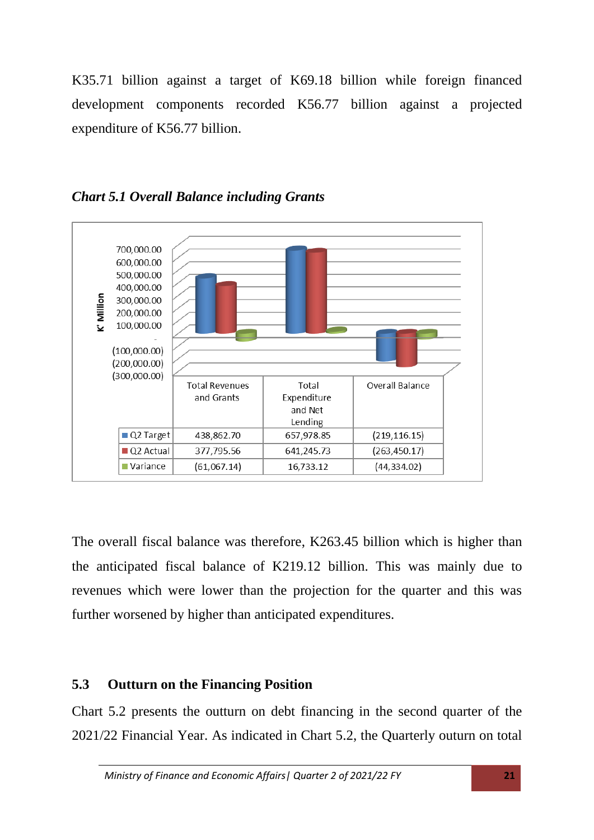K35.71 billion against a target of K69.18 billion while foreign financed development components recorded K56.77 billion against a projected expenditure of K56.77 billion.



*Chart 5.1 Overall Balance including Grants* 

The overall fiscal balance was therefore, K263.45 billion which is higher than the anticipated fiscal balance of K219.12 billion. This was mainly due to revenues which were lower than the projection for the quarter and this was further worsened by higher than anticipated expenditures.

#### <span id="page-20-0"></span>**5.3 Outturn on the Financing Position**

Chart 5.2 presents the outturn on debt financing in the second quarter of the 2021/22 Financial Year. As indicated in Chart 5.2, the Quarterly outurn on total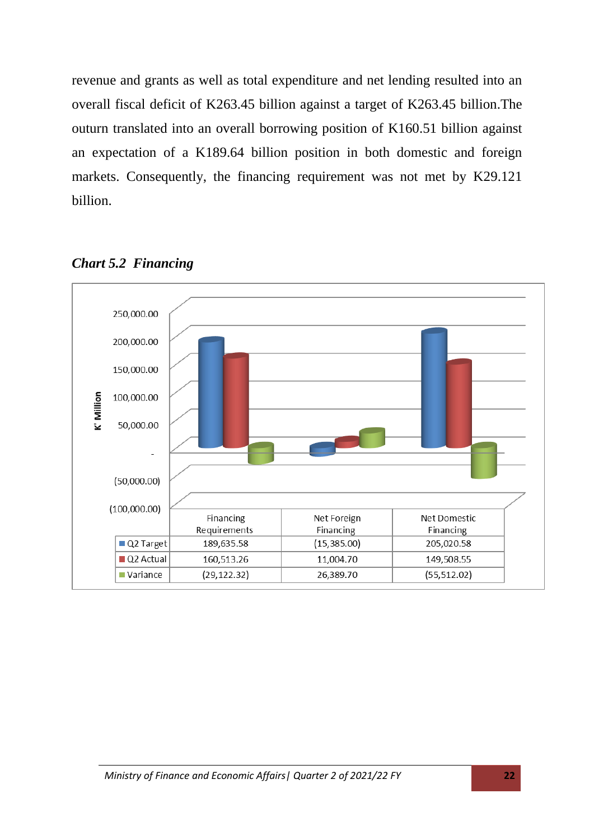revenue and grants as well as total expenditure and net lending resulted into an overall fiscal deficit of K263.45 billion against a target of K263.45 billion.The outurn translated into an overall borrowing position of K160.51 billion against an expectation of a K189.64 billion position in both domestic and foreign markets. Consequently, the financing requirement was not met by K29.121 billion.



*Chart 5.2 Financing*